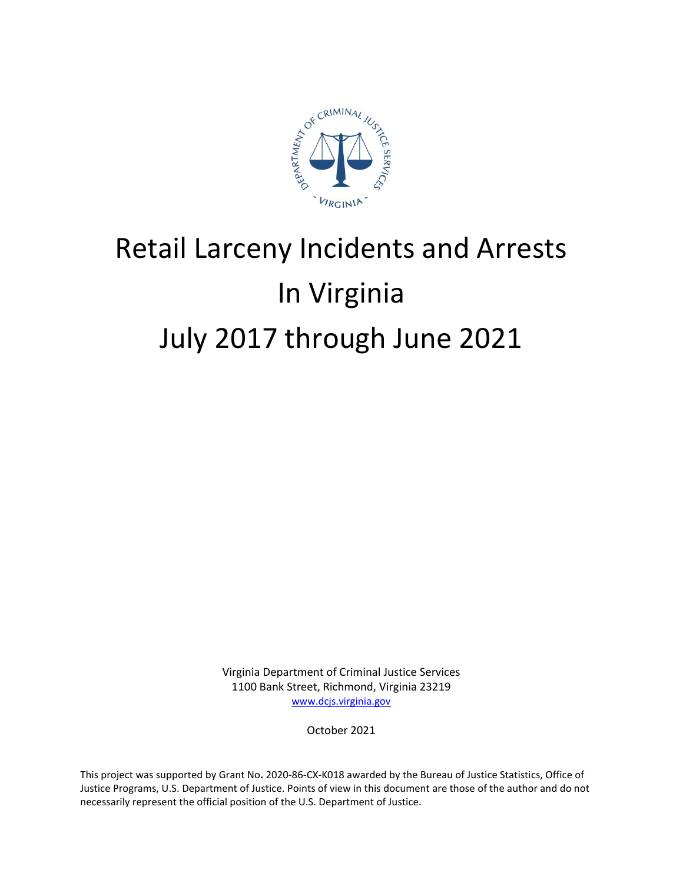

# Retail Larceny Incidents and Arrests In Virginia July 2017 through June 2021

Virginia Department of Criminal Justice Services 1100 Bank Street, Richmond, Virginia 23219 [www.dcjs.virginia.gov](https://www.dcjs.virginia.gov/)

October 2021

This project was supported by Grant No**.** 2020-86-CX-K018 awarded by the Bureau of Justice Statistics, Office of Justice Programs, U.S. Department of Justice. Points of view in this document are those of the author and do not necessarily represent the official position of the U.S. Department of Justice.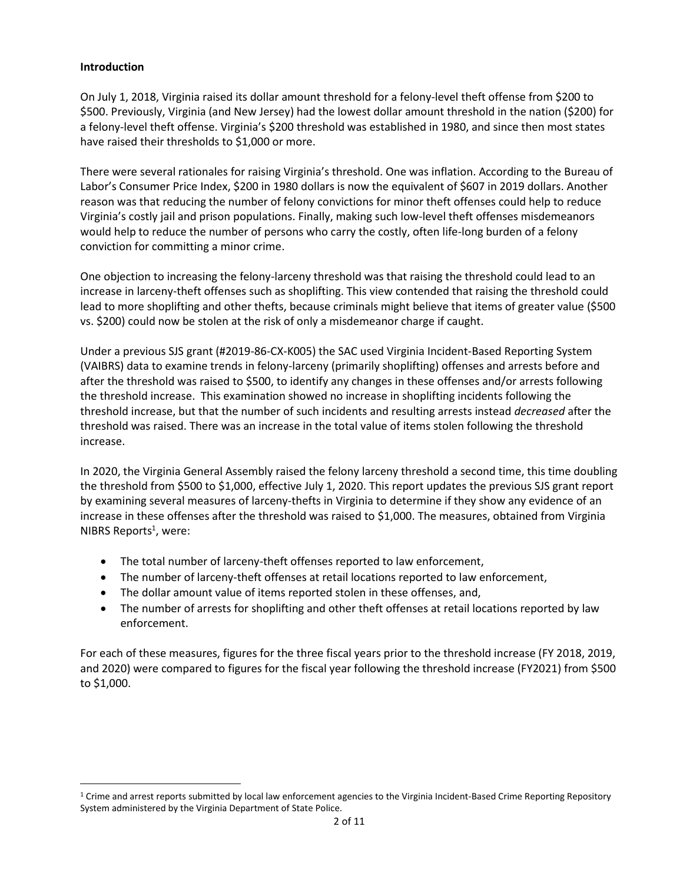## **Introduction**

 $\overline{\phantom{a}}$ 

On July 1, 2018, Virginia raised its dollar amount threshold for a felony-level theft offense from \$200 to \$500. Previously, Virginia (and New Jersey) had the lowest dollar amount threshold in the nation (\$200) for a felony-level theft offense. Virginia's \$200 threshold was established in 1980, and since then most states have raised their thresholds to \$1,000 or more.

There were several rationales for raising Virginia's threshold. One was inflation. According to the Bureau of Labor's Consumer Price Index, \$200 in 1980 dollars is now the equivalent of \$607 in 2019 dollars. Another reason was that reducing the number of felony convictions for minor theft offenses could help to reduce Virginia's costly jail and prison populations. Finally, making such low-level theft offenses misdemeanors would help to reduce the number of persons who carry the costly, often life-long burden of a felony conviction for committing a minor crime.

One objection to increasing the felony-larceny threshold was that raising the threshold could lead to an increase in larceny-theft offenses such as shoplifting. This view contended that raising the threshold could lead to more shoplifting and other thefts, because criminals might believe that items of greater value (\$500 vs. \$200) could now be stolen at the risk of only a misdemeanor charge if caught.

Under a previous SJS grant (#2019-86-CX-K005) the SAC used Virginia Incident-Based Reporting System (VAIBRS) data to examine trends in felony-larceny (primarily shoplifting) offenses and arrests before and after the threshold was raised to \$500, to identify any changes in these offenses and/or arrests following the threshold increase. This examination showed no increase in shoplifting incidents following the threshold increase, but that the number of such incidents and resulting arrests instead *decreased* after the threshold was raised. There was an increase in the total value of items stolen following the threshold increase.

In 2020, the Virginia General Assembly raised the felony larceny threshold a second time, this time doubling the threshold from \$500 to \$1,000, effective July 1, 2020. This report updates the previous SJS grant report by examining several measures of larceny-thefts in Virginia to determine if they show any evidence of an increase in these offenses after the threshold was raised to \$1,000. The measures, obtained from Virginia NIBRS Reports<sup>1</sup>, were:

- The total number of larceny-theft offenses reported to law enforcement,
- The number of larceny-theft offenses at retail locations reported to law enforcement,
- The dollar amount value of items reported stolen in these offenses, and,
- The number of arrests for shoplifting and other theft offenses at retail locations reported by law enforcement.

For each of these measures, figures for the three fiscal years prior to the threshold increase (FY 2018, 2019, and 2020) were compared to figures for the fiscal year following the threshold increase (FY2021) from \$500 to \$1,000.

<sup>1</sup> Crime and arrest reports submitted by local law enforcement agencies to the Virginia Incident-Based Crime Reporting Repository System administered by the Virginia Department of State Police.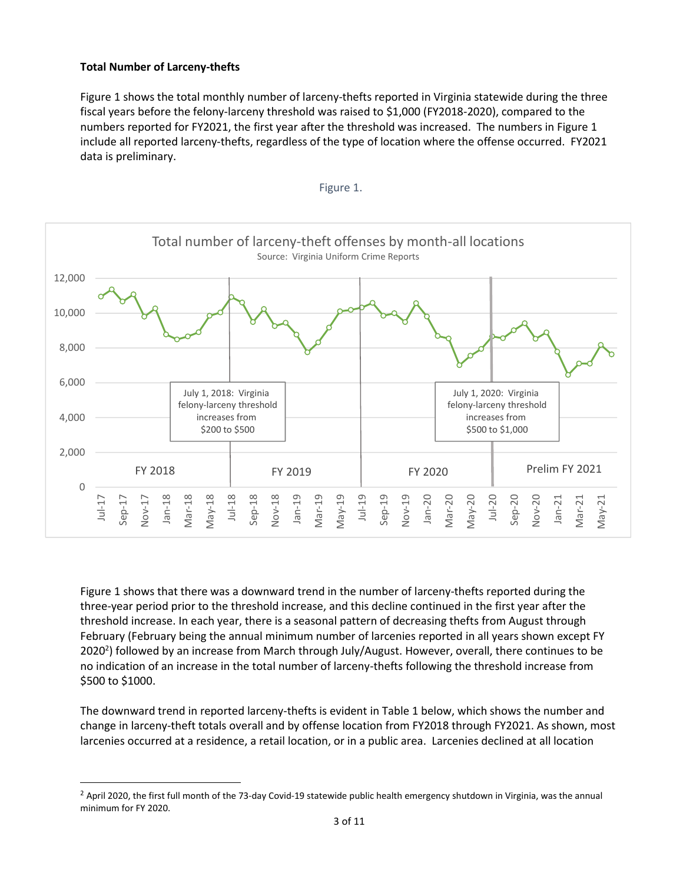## **Total Number of Larceny-thefts**

l

Figure 1 shows the total monthly number of larceny-thefts reported in Virginia statewide during the three fiscal years before the felony-larceny threshold was raised to \$1,000 (FY2018-2020), compared to the numbers reported for FY2021, the first year after the threshold was increased. The numbers in Figure 1 include all reported larceny-thefts, regardless of the type of location where the offense occurred. FY2021 data is preliminary.





Figure 1 shows that there was a downward trend in the number of larceny-thefts reported during the three-year period prior to the threshold increase, and this decline continued in the first year after the threshold increase. In each year, there is a seasonal pattern of decreasing thefts from August through February (February being the annual minimum number of larcenies reported in all years shown except FY 2020<sup>2</sup>) followed by an increase from March through July/August. However, overall, there continues to be no indication of an increase in the total number of larceny-thefts following the threshold increase from \$500 to \$1000.

The downward trend in reported larceny-thefts is evident in Table 1 below, which shows the number and change in larceny-theft totals overall and by offense location from FY2018 through FY2021. As shown, most larcenies occurred at a residence, a retail location, or in a public area. Larcenies declined at all location

 $2$  April 2020, the first full month of the 73-day Covid-19 statewide public health emergency shutdown in Virginia, was the annual minimum for FY 2020.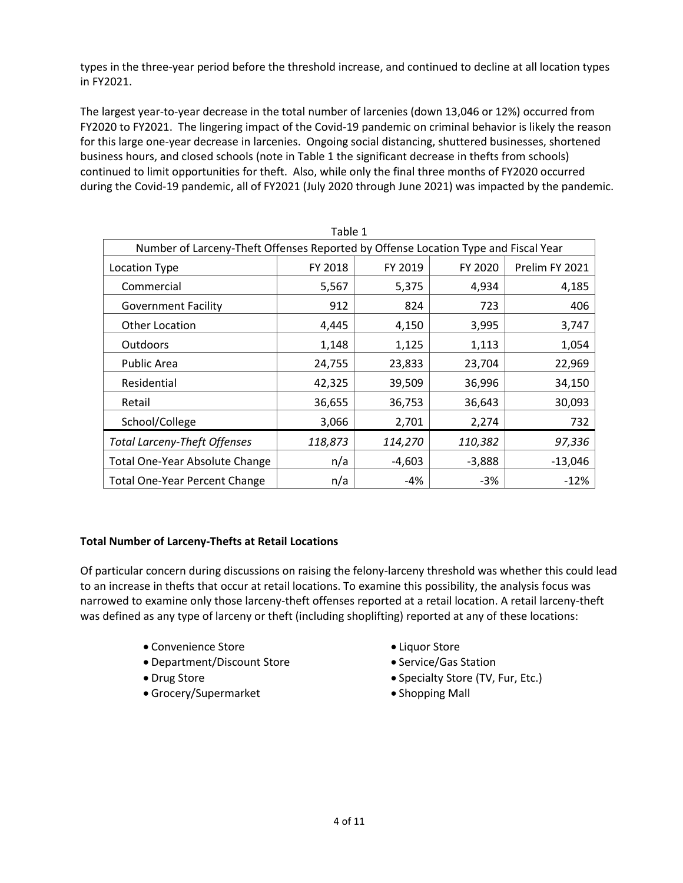types in the three-year period before the threshold increase, and continued to decline at all location types in FY2021.

The largest year-to-year decrease in the total number of larcenies (down 13,046 or 12%) occurred from FY2020 to FY2021. The lingering impact of the Covid-19 pandemic on criminal behavior is likely the reason for this large one-year decrease in larcenies. Ongoing social distancing, shuttered businesses, shortened business hours, and closed schools (note in Table 1 the significant decrease in thefts from schools) continued to limit opportunities for theft. Also, while only the final three months of FY2020 occurred during the Covid-19 pandemic, all of FY2021 (July 2020 through June 2021) was impacted by the pandemic.

| Table 1                                                                            |         |          |          |                |
|------------------------------------------------------------------------------------|---------|----------|----------|----------------|
| Number of Larceny-Theft Offenses Reported by Offense Location Type and Fiscal Year |         |          |          |                |
| Location Type                                                                      | FY 2018 | FY 2019  | FY 2020  | Prelim FY 2021 |
| Commercial                                                                         | 5,567   | 5,375    | 4,934    | 4,185          |
| <b>Government Facility</b>                                                         | 912     | 824      | 723      | 406            |
| Other Location                                                                     | 4,445   | 4,150    | 3,995    | 3,747          |
| <b>Outdoors</b>                                                                    | 1,148   | 1,125    | 1,113    | 1,054          |
| Public Area                                                                        | 24,755  | 23,833   | 23,704   | 22,969         |
| Residential                                                                        | 42,325  | 39,509   | 36,996   | 34,150         |
| Retail                                                                             | 36,655  | 36,753   | 36,643   | 30,093         |
| School/College                                                                     | 3,066   | 2,701    | 2,274    | 732            |
| <b>Total Larceny-Theft Offenses</b>                                                | 118,873 | 114,270  | 110,382  | 97,336         |
| Total One-Year Absolute Change                                                     | n/a     | $-4,603$ | $-3,888$ | $-13,046$      |
| <b>Total One-Year Percent Change</b>                                               | n/a     | -4%      | -3%      | $-12%$         |

#### **Total Number of Larceny-Thefts at Retail Locations**

Of particular concern during discussions on raising the felony-larceny threshold was whether this could lead to an increase in thefts that occur at retail locations. To examine this possibility, the analysis focus was narrowed to examine only those larceny-theft offenses reported at a retail location. A retail larceny-theft was defined as any type of larceny or theft (including shoplifting) reported at any of these locations:

- Convenience Store **Liquor Store**
- Department/Discount Store **Subseter Station** Service/Gas Station
- 
- Grocery/Supermarket **Contact Contact Contact Contact Contact Contact Contact Contact Contact Contact Contact Contact Contact Contact Contact Contact Contact Contact Contact Contact Contact Contact Contact Contact Contact**
- 
- 
- Drug Store **Specialty Store (TV, Fur, Etc.)** 
	-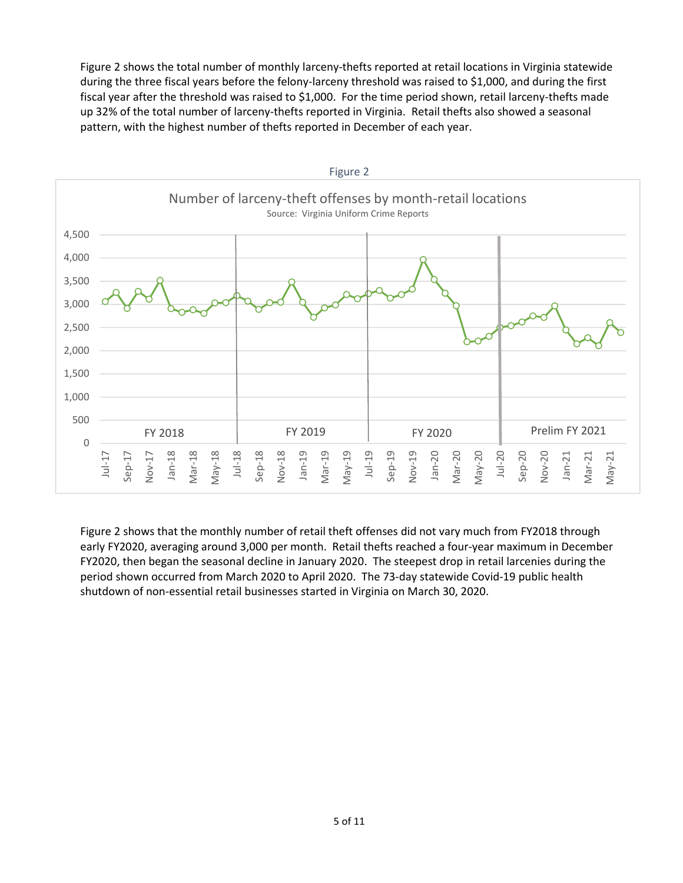Figure 2 shows the total number of monthly larceny-thefts reported at retail locations in Virginia statewide during the three fiscal years before the felony-larceny threshold was raised to \$1,000, and during the first fiscal year after the threshold was raised to \$1,000. For the time period shown, retail larceny-thefts made up 32% of the total number of larceny-thefts reported in Virginia. Retail thefts also showed a seasonal pattern, with the highest number of thefts reported in December of each year.



Figure 2 shows that the monthly number of retail theft offenses did not vary much from FY2018 through early FY2020, averaging around 3,000 per month. Retail thefts reached a four-year maximum in December FY2020, then began the seasonal decline in January 2020. The steepest drop in retail larcenies during the period shown occurred from March 2020 to April 2020. The 73-day statewide Covid-19 public health shutdown of non-essential retail businesses started in Virginia on March 30, 2020.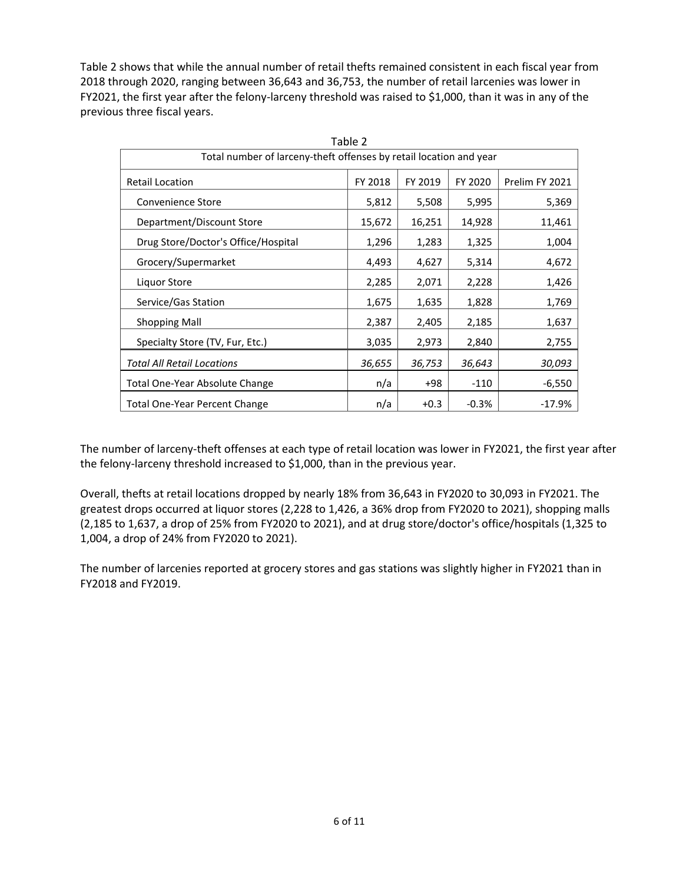Table 2 shows that while the annual number of retail thefts remained consistent in each fiscal year from 2018 through 2020, ranging between 36,643 and 36,753, the number of retail larcenies was lower in FY2021, the first year after the felony-larceny threshold was raised to \$1,000, than it was in any of the previous three fiscal years.

| Table 2                                                            |         |         |         |                |
|--------------------------------------------------------------------|---------|---------|---------|----------------|
| Total number of larceny-theft offenses by retail location and year |         |         |         |                |
| <b>Retail Location</b>                                             | FY 2018 | FY 2019 | FY 2020 | Prelim FY 2021 |
| Convenience Store                                                  | 5,812   | 5,508   | 5,995   | 5,369          |
| Department/Discount Store                                          | 15,672  | 16,251  | 14,928  | 11,461         |
| Drug Store/Doctor's Office/Hospital                                | 1,296   | 1,283   | 1,325   | 1,004          |
| Grocery/Supermarket                                                | 4,493   | 4,627   | 5,314   | 4,672          |
| Liquor Store                                                       | 2,285   | 2,071   | 2,228   | 1,426          |
| Service/Gas Station                                                | 1,675   | 1,635   | 1,828   | 1,769          |
| <b>Shopping Mall</b>                                               | 2,387   | 2,405   | 2,185   | 1,637          |
| Specialty Store (TV, Fur, Etc.)                                    | 3,035   | 2,973   | 2,840   | 2,755          |
| <b>Total All Retail Locations</b>                                  | 36,655  | 36,753  | 36,643  | 30,093         |
| Total One-Year Absolute Change                                     | n/a     | +98     | $-110$  | $-6,550$       |
| <b>Total One-Year Percent Change</b>                               | n/a     | $+0.3$  | $-0.3%$ | $-17.9%$       |

The number of larceny-theft offenses at each type of retail location was lower in FY2021, the first year after the felony-larceny threshold increased to \$1,000, than in the previous year.

Overall, thefts at retail locations dropped by nearly 18% from 36,643 in FY2020 to 30,093 in FY2021. The greatest drops occurred at liquor stores (2,228 to 1,426, a 36% drop from FY2020 to 2021), shopping malls (2,185 to 1,637, a drop of 25% from FY2020 to 2021), and at drug store/doctor's office/hospitals (1,325 to 1,004, a drop of 24% from FY2020 to 2021).

The number of larcenies reported at grocery stores and gas stations was slightly higher in FY2021 than in FY2018 and FY2019.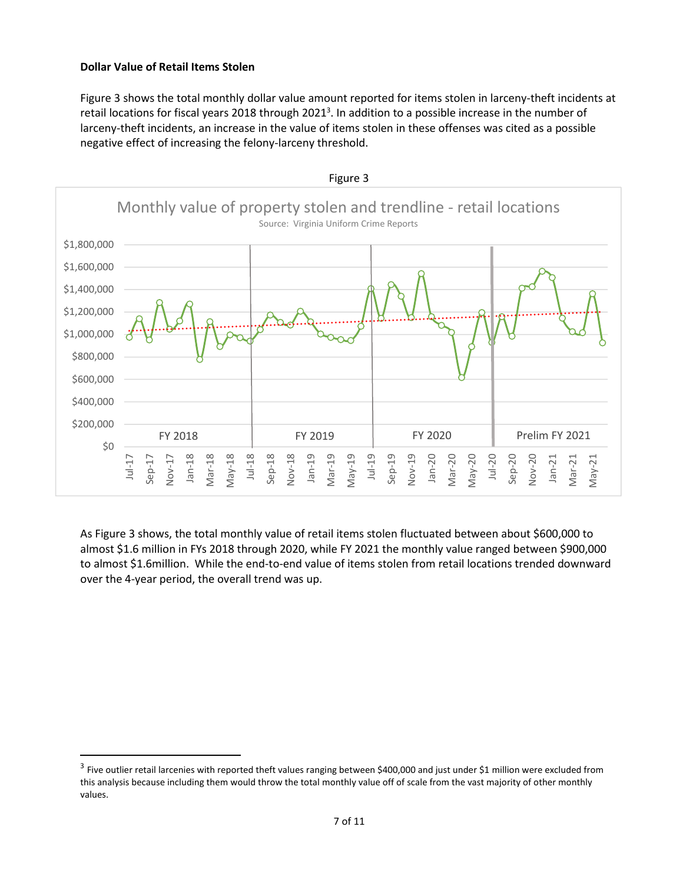#### **Dollar Value of Retail Items Stolen**

l

Figure 3 shows the total monthly dollar value amount reported for items stolen in larceny-theft incidents at retail locations for fiscal years 2018 through 2021<sup>3</sup>. In addition to a possible increase in the number of larceny-theft incidents, an increase in the value of items stolen in these offenses was cited as a possible negative effect of increasing the felony-larceny threshold.



As Figure 3 shows, the total monthly value of retail items stolen fluctuated between about \$600,000 to almost \$1.6 million in FYs 2018 through 2020, while FY 2021 the monthly value ranged between \$900,000 to almost \$1.6million. While the end-to-end value of items stolen from retail locations trended downward over the 4-year period, the overall trend was up.

 $^3$  Five outlier retail larcenies with reported theft values ranging between \$400,000 and just under \$1 million were excluded from this analysis because including them would throw the total monthly value off of scale from the vast majority of other monthly values.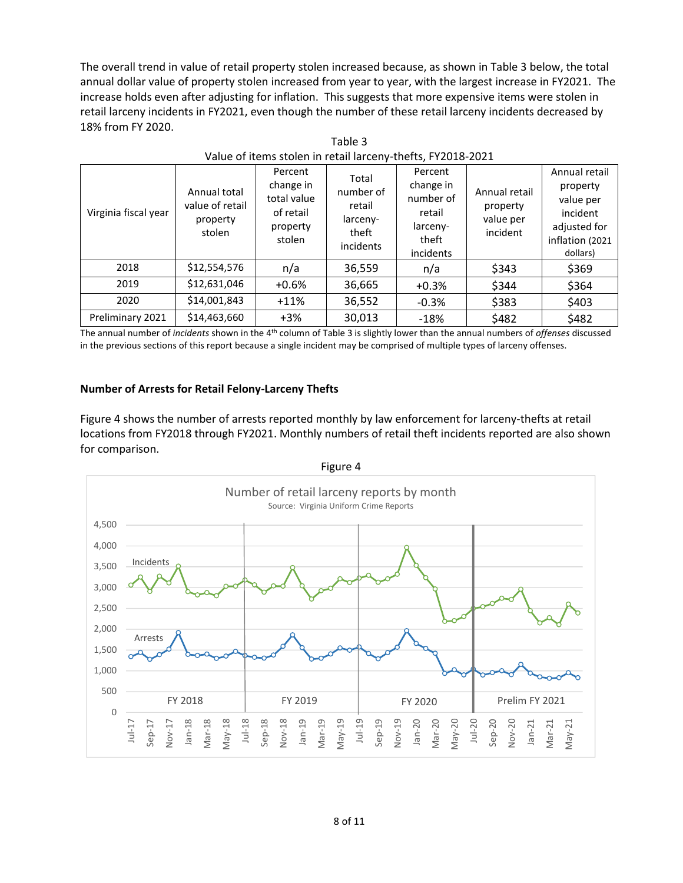The overall trend in value of retail property stolen increased because, as shown in Table 3 below, the total annual dollar value of property stolen increased from year to year, with the largest increase in FY2021. The increase holds even after adjusting for inflation. This suggests that more expensive items were stolen in retail larceny incidents in FY2021, even though the number of these retail larceny incidents decreased by 18% from FY 2020.

Table 3

| Value of items stolen in retail larceny-thefts, FY2018-2021 |                                                       |                                                                        |                                                                |                                                                               |                                                    |                                                                                                   |
|-------------------------------------------------------------|-------------------------------------------------------|------------------------------------------------------------------------|----------------------------------------------------------------|-------------------------------------------------------------------------------|----------------------------------------------------|---------------------------------------------------------------------------------------------------|
| Virginia fiscal year                                        | Annual total<br>value of retail<br>property<br>stolen | Percent<br>change in<br>total value<br>of retail<br>property<br>stolen | Total<br>number of<br>retail<br>larceny-<br>theft<br>incidents | Percent<br>change in<br>number of<br>retail<br>larceny-<br>theft<br>incidents | Annual retail<br>property<br>value per<br>incident | Annual retail<br>property<br>value per<br>incident<br>adjusted for<br>inflation (2021<br>dollars) |
| 2018                                                        | \$12,554,576                                          | n/a                                                                    | 36,559                                                         | n/a                                                                           | \$343                                              | \$369                                                                                             |
| 2019                                                        | \$12,631,046                                          | $+0.6%$                                                                | 36,665                                                         | $+0.3%$                                                                       | \$344                                              | \$364                                                                                             |
| 2020                                                        | \$14,001,843                                          | $+11%$                                                                 | 36,552                                                         | $-0.3%$                                                                       | \$383                                              | \$403                                                                                             |
| Preliminary 2021                                            | \$14,463,660                                          | $+3%$                                                                  | 30,013                                                         | $-18%$                                                                        | \$482                                              | \$482                                                                                             |

The annual number of *incidents* shown in the 4th column of Table 3 is slightly lower than the annual numbers of *offenses* discussed in the previous sections of this report because a single incident may be comprised of multiple types of larceny offenses.

## **Number of Arrests for Retail Felony-Larceny Thefts**

Figure 4 shows the number of arrests reported monthly by law enforcement for larceny-thefts at retail locations from FY2018 through FY2021. Monthly numbers of retail theft incidents reported are also shown for comparison.

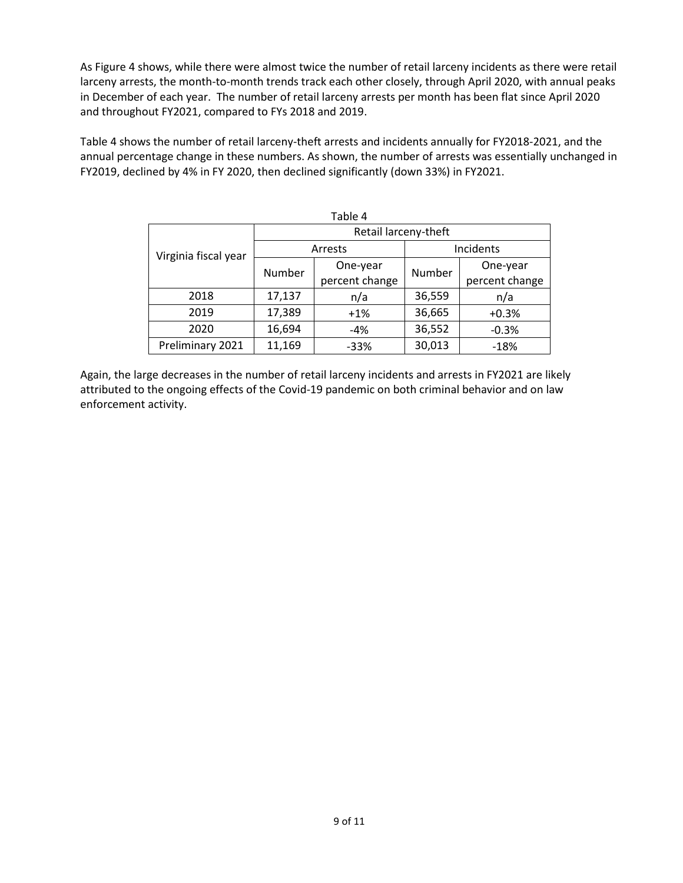As Figure 4 shows, while there were almost twice the number of retail larceny incidents as there were retail larceny arrests, the month-to-month trends track each other closely, through April 2020, with annual peaks in December of each year. The number of retail larceny arrests per month has been flat since April 2020 and throughout FY2021, compared to FYs 2018 and 2019.

Table 4 shows the number of retail larceny-theft arrests and incidents annually for FY2018-2021, and the annual percentage change in these numbers. As shown, the number of arrests was essentially unchanged in FY2019, declined by 4% in FY 2020, then declined significantly (down 33%) in FY2021.

| Table 4              |                      |                |           |                |  |  |
|----------------------|----------------------|----------------|-----------|----------------|--|--|
| Virginia fiscal year | Retail larceny-theft |                |           |                |  |  |
|                      | Arrests              |                | Incidents |                |  |  |
|                      | Number               | One-year       | Number    | One-year       |  |  |
|                      |                      | percent change |           | percent change |  |  |
| 2018                 | 17,137               | n/a            | 36,559    | n/a            |  |  |
| 2019                 | 17,389               | $+1%$          | 36,665    | $+0.3%$        |  |  |
| 2020                 | 16,694               | $-4%$          | 36,552    | $-0.3%$        |  |  |
| Preliminary 2021     | 11,169               | $-33%$         | 30,013    | $-18%$         |  |  |

Again, the large decreases in the number of retail larceny incidents and arrests in FY2021 are likely attributed to the ongoing effects of the Covid-19 pandemic on both criminal behavior and on law enforcement activity.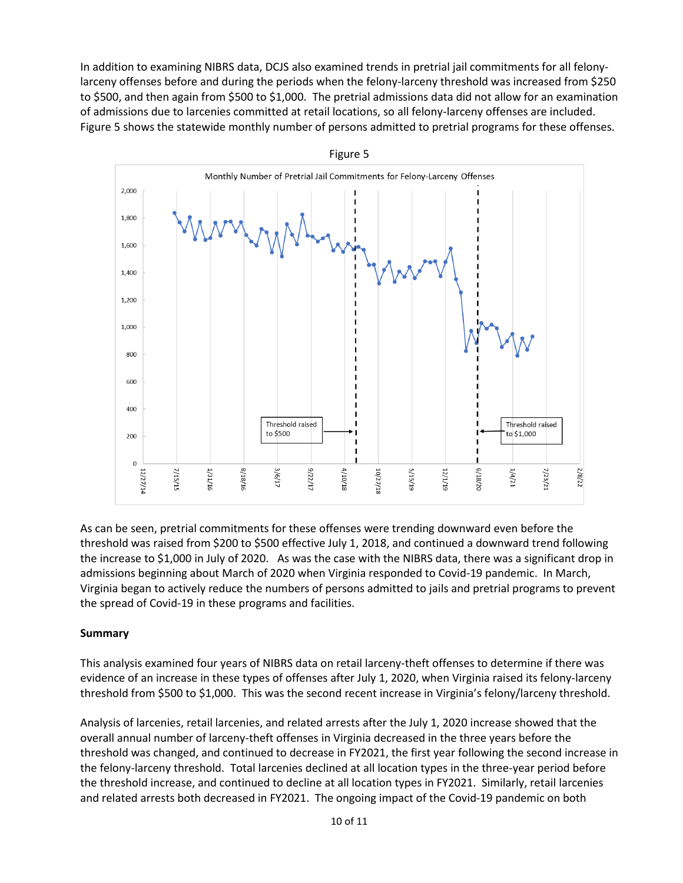In addition to examining NIBRS data, DCJS also examined trends in pretrial jail commitments for all felonylarceny offenses before and during the periods when the felony-larceny threshold was increased from \$250 to \$500, and then again from \$500 to \$1,000. The pretrial admissions data did not allow for an examination of admissions due to larcenies committed at retail locations, so all felony-larceny offenses are included. Figure 5 shows the statewide monthly number of persons admitted to pretrial programs for these offenses.



As can be seen, pretrial commitments for these offenses were trending downward even before the threshold was raised from \$200 to \$500 effective July 1, 2018, and continued a downward trend following the increase to \$1,000 in July of 2020. As was the case with the NIBRS data, there was a significant drop in admissions beginning about March of 2020 when Virginia responded to Covid-19 pandemic. In March, Virginia began to actively reduce the numbers of persons admitted to jails and pretrial programs to prevent the spread of Covid-19 in these programs and facilities.

## **Summary**

This analysis examined four years of NIBRS data on retail larceny-theft offenses to determine if there was evidence of an increase in these types of offenses after July 1, 2020, when Virginia raised its felony-larceny threshold from \$500 to \$1,000. This was the second recent increase in Virginia's felony/larceny threshold.

Analysis of larcenies, retail larcenies, and related arrests after the July 1, 2020 increase showed that the overall annual number of larceny-theft offenses in Virginia decreased in the three years before the threshold was changed, and continued to decrease in FY2021, the first year following the second increase in the felony-larceny threshold. Total larcenies declined at all location types in the three-year period before the threshold increase, and continued to decline at all location types in FY2021. Similarly, retail larcenies and related arrests both decreased in FY2021. The ongoing impact of the Covid-19 pandemic on both